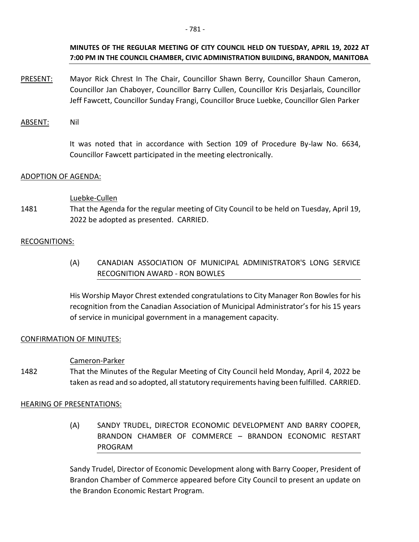## **MINUTES OF THE REGULAR MEETING OF CITY COUNCIL HELD ON TUESDAY, APRIL 19, 2022 AT 7:00 PM IN THE COUNCIL CHAMBER, CIVIC ADMINISTRATION BUILDING, BRANDON, MANITOBA**

- PRESENT: Mayor Rick Chrest In The Chair, Councillor Shawn Berry, Councillor Shaun Cameron, Councillor Jan Chaboyer, Councillor Barry Cullen, Councillor Kris Desjarlais, Councillor Jeff Fawcett, Councillor Sunday Frangi, Councillor Bruce Luebke, Councillor Glen Parker
- ABSENT: Nil

 It was noted that in accordance with Section 109 of Procedure By-law No. 6634, Councillor Fawcett participated in the meeting electronically.

### ADOPTION OF AGENDA:

### Luebke-Cullen

1481 That the Agenda for the regular meeting of City Council to be held on Tuesday, April 19, 2022 be adopted as presented. CARRIED.

### RECOGNITIONS:

(A) CANADIAN ASSOCIATION OF MUNICIPAL ADMINISTRATOR'S LONG SERVICE RECOGNITION AWARD - RON BOWLES

His Worship Mayor Chrest extended congratulations to City Manager Ron Bowles for his recognition from the Canadian Association of Municipal Administrator's for his 15 years of service in municipal government in a management capacity.

### CONFIRMATION OF MINUTES:

### Cameron-Parker

1482 That the Minutes of the Regular Meeting of City Council held Monday, April 4, 2022 be taken as read and so adopted, all statutory requirements having been fulfilled. CARRIED.

### HEARING OF PRESENTATIONS:

(A) SANDY TRUDEL, DIRECTOR ECONOMIC DEVELOPMENT AND BARRY COOPER, BRANDON CHAMBER OF COMMERCE – BRANDON ECONOMIC RESTART PROGRAM

Sandy Trudel, Director of Economic Development along with Barry Cooper, President of Brandon Chamber of Commerce appeared before City Council to present an update on the Brandon Economic Restart Program.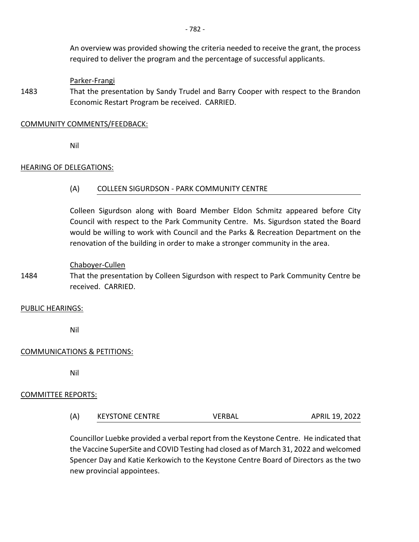An overview was provided showing the criteria needed to receive the grant, the process required to deliver the program and the percentage of successful applicants.

### Parker-Frangi

1483 That the presentation by Sandy Trudel and Barry Cooper with respect to the Brandon Economic Restart Program be received. CARRIED.

#### COMMUNITY COMMENTS/FEEDBACK:

Nil

### HEARING OF DELEGATIONS:

### (A) COLLEEN SIGURDSON - PARK COMMUNITY CENTRE

Colleen Sigurdson along with Board Member Eldon Schmitz appeared before City Council with respect to the Park Community Centre. Ms. Sigurdson stated the Board would be willing to work with Council and the Parks & Recreation Department on the renovation of the building in order to make a stronger community in the area.

#### Chaboyer-Cullen

1484 That the presentation by Colleen Sigurdson with respect to Park Community Centre be received. CARRIED.

#### PUBLIC HEARINGS:

Nil

### COMMUNICATIONS & PETITIONS:

Nil

### COMMITTEE REPORTS:

(A) KEYSTONE CENTRE VERBAL APRIL 19, 2022

Councillor Luebke provided a verbal report from the Keystone Centre. He indicated that the Vaccine SuperSite and COVID Testing had closed as of March 31, 2022 and welcomed Spencer Day and Katie Kerkowich to the Keystone Centre Board of Directors as the two new provincial appointees.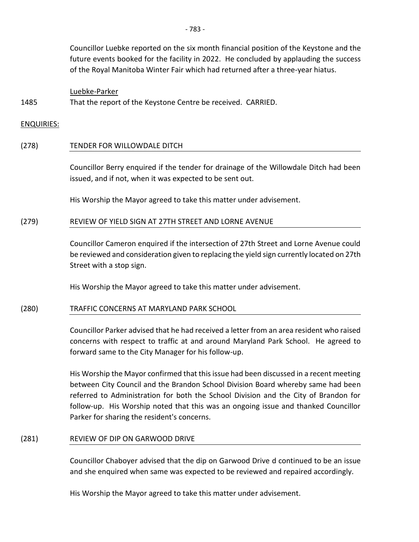Councillor Luebke reported on the six month financial position of the Keystone and the future events booked for the facility in 2022. He concluded by applauding the success of the Royal Manitoba Winter Fair which had returned after a three-year hiatus.

#### Luebke-Parker

1485 That the report of the Keystone Centre be received. CARRIED.

ENQUIRIES:

#### (278) TENDER FOR WILLOWDALE DITCH

Councillor Berry enquired if the tender for drainage of the Willowdale Ditch had been issued, and if not, when it was expected to be sent out.

His Worship the Mayor agreed to take this matter under advisement.

#### (279) REVIEW OF YIELD SIGN AT 27TH STREET AND LORNE AVENUE

Councillor Cameron enquired if the intersection of 27th Street and Lorne Avenue could be reviewed and consideration given to replacing the yield sign currently located on 27th Street with a stop sign.

His Worship the Mayor agreed to take this matter under advisement.

#### (280) TRAFFIC CONCERNS AT MARYLAND PARK SCHOOL

Councillor Parker advised that he had received a letter from an area resident who raised concerns with respect to traffic at and around Maryland Park School. He agreed to forward same to the City Manager for his follow-up.

His Worship the Mayor confirmed that this issue had been discussed in a recent meeting between City Council and the Brandon School Division Board whereby same had been referred to Administration for both the School Division and the City of Brandon for follow-up. His Worship noted that this was an ongoing issue and thanked Councillor Parker for sharing the resident's concerns.

#### (281) REVIEW OF DIP ON GARWOOD DRIVE

Councillor Chaboyer advised that the dip on Garwood Drive d continued to be an issue and she enquired when same was expected to be reviewed and repaired accordingly.

His Worship the Mayor agreed to take this matter under advisement.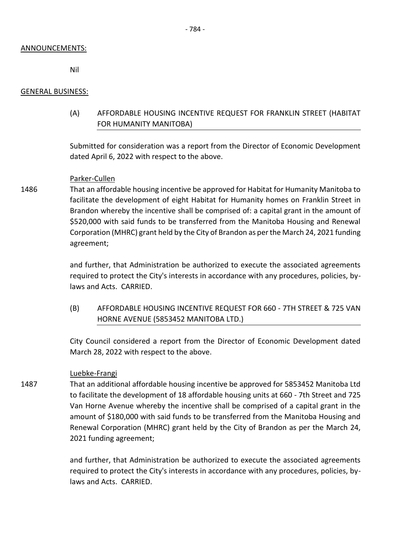#### ANNOUNCEMENTS:

Nil

### GENERAL BUSINESS:

# (A) AFFORDABLE HOUSING INCENTIVE REQUEST FOR FRANKLIN STREET (HABITAT FOR HUMANITY MANITOBA)

Submitted for consideration was a report from the Director of Economic Development dated April 6, 2022 with respect to the above.

### Parker-Cullen

1486 That an affordable housing incentive be approved for Habitat for Humanity Manitoba to facilitate the development of eight Habitat for Humanity homes on Franklin Street in Brandon whereby the incentive shall be comprised of: a capital grant in the amount of \$520,000 with said funds to be transferred from the Manitoba Housing and Renewal Corporation (MHRC) grant held by the City of Brandon as per the March 24, 2021 funding agreement;

> and further, that Administration be authorized to execute the associated agreements required to protect the City's interests in accordance with any procedures, policies, bylaws and Acts. CARRIED.

> (B) AFFORDABLE HOUSING INCENTIVE REQUEST FOR 660 - 7TH STREET & 725 VAN HORNE AVENUE (5853452 MANITOBA LTD.)

> City Council considered a report from the Director of Economic Development dated March 28, 2022 with respect to the above.

#### Luebke-Frangi

1487 That an additional affordable housing incentive be approved for 5853452 Manitoba Ltd to facilitate the development of 18 affordable housing units at 660 - 7th Street and 725 Van Horne Avenue whereby the incentive shall be comprised of a capital grant in the amount of \$180,000 with said funds to be transferred from the Manitoba Housing and Renewal Corporation (MHRC) grant held by the City of Brandon as per the March 24, 2021 funding agreement;

> and further, that Administration be authorized to execute the associated agreements required to protect the City's interests in accordance with any procedures, policies, bylaws and Acts. CARRIED.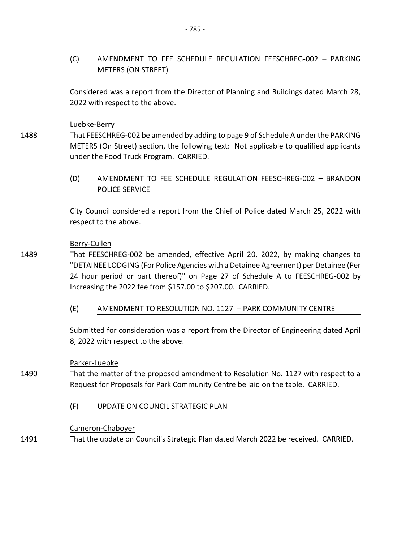(C) AMENDMENT TO FEE SCHEDULE REGULATION FEESCHREG-002 – PARKING METERS (ON STREET)

Considered was a report from the Director of Planning and Buildings dated March 28, 2022 with respect to the above.

## Luebke-Berry

1488 That FEESCHREG-002 be amended by adding to page 9 of Schedule A under the PARKING METERS (On Street) section, the following text: Not applicable to qualified applicants under the Food Truck Program. CARRIED.

> (D) AMENDMENT TO FEE SCHEDULE REGULATION FEESCHREG-002 – BRANDON POLICE SERVICE

> City Council considered a report from the Chief of Police dated March 25, 2022 with respect to the above.

### Berry-Cullen

- 1489 That FEESCHREG-002 be amended, effective April 20, 2022, by making changes to "DETAINEE LODGING (For Police Agencies with a Detainee Agreement) per Detainee (Per 24 hour period or part thereof)" on Page 27 of Schedule A to FEESCHREG-002 by Increasing the 2022 fee from \$157.00 to \$207.00. CARRIED.
	- (E) AMENDMENT TO RESOLUTION NO. 1127 PARK COMMUNITY CENTRE

Submitted for consideration was a report from the Director of Engineering dated April 8, 2022 with respect to the above.

## Parker-Luebke

- 1490 That the matter of the proposed amendment to Resolution No. 1127 with respect to a Request for Proposals for Park Community Centre be laid on the table. CARRIED.
	- (F) UPDATE ON COUNCIL STRATEGIC PLAN

### Cameron-Chaboyer

1491 That the update on Council's Strategic Plan dated March 2022 be received. CARRIED.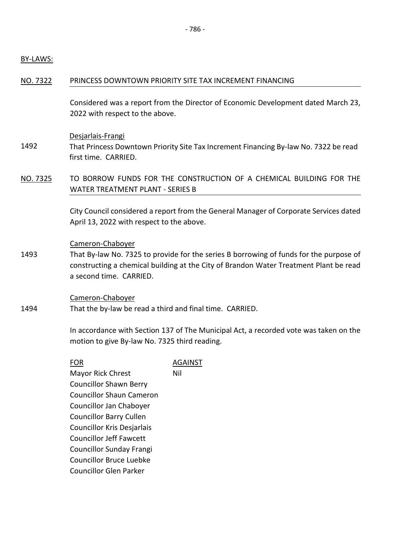### BY-LAWS:

### NO. 7322 PRINCESS DOWNTOWN PRIORITY SITE TAX INCREMENT FINANCING

Considered was a report from the Director of Economic Development dated March 23, 2022 with respect to the above.

### Desjarlais-Frangi

- 1492 That Princess Downtown Priority Site Tax Increment Financing By-law No. 7322 be read first time. CARRIED.
- NO. 7325 TO BORROW FUNDS FOR THE CONSTRUCTION OF A CHEMICAL BUILDING FOR THE WATER TREATMENT PLANT - SERIES B

City Council considered a report from the General Manager of Corporate Services dated April 13, 2022 with respect to the above.

#### Cameron-Chaboyer

1493 That By-law No. 7325 to provide for the series B borrowing of funds for the purpose of constructing a chemical building at the City of Brandon Water Treatment Plant be read a second time. CARRIED.

Cameron-Chaboyer

1494 That the by-law be read a third and final time. CARRIED.

> In accordance with Section 137 of The Municipal Act, a recorded vote was taken on the motion to give By-law No. 7325 third reading.

| FOR                             | AGAINST |
|---------------------------------|---------|
| Mayor Rick Chrest               | Nil     |
| <b>Councillor Shawn Berry</b>   |         |
| <b>Councillor Shaun Cameron</b> |         |
| Councillor Jan Chaboyer         |         |
| <b>Councillor Barry Cullen</b>  |         |
| Councillor Kris Desjarlais      |         |
| <b>Councillor Jeff Fawcett</b>  |         |
| <b>Councillor Sunday Frangi</b> |         |
| <b>Councillor Bruce Luebke</b>  |         |
| Councillor Glen Parker          |         |
|                                 |         |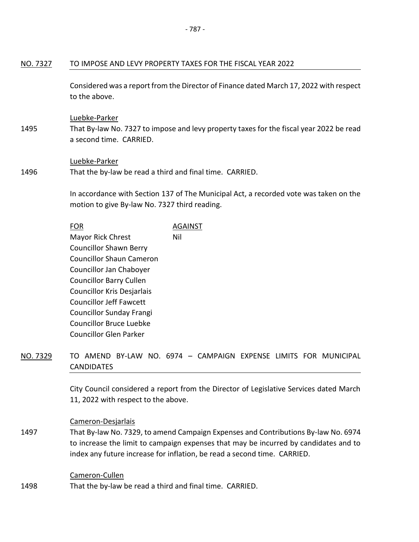## NO. 7327 TO IMPOSE AND LEVY PROPERTY TAXES FOR THE FISCAL YEAR 2022

Considered was a report from the Director of Finance dated March 17, 2022 with respect to the above.

#### Luebke-Parker

1495 That By-law No. 7327 to impose and levy property taxes for the fiscal year 2022 be read a second time. CARRIED.

#### Luebke-Parker

1496 That the by-law be read a third and final time. CARRIED.

> In accordance with Section 137 of The Municipal Act, a recorded vote was taken on the motion to give By-law No. 7327 third reading.

# FOR AGAINST Mayor Rick Chrest Councillor Shawn Berry Councillor Shaun Cameron Councillor Jan Chaboyer Councillor Barry Cullen Councillor Kris Desjarlais Councillor Jeff Fawcett Councillor Sunday Frangi Councillor Bruce Luebke Councillor Glen Parker Nil

NO. 7329 TO AMEND BY-LAW NO. 6974 – CAMPAIGN EXPENSE LIMITS FOR MUNICIPAL **CANDIDATES** 

> City Council considered a report from the Director of Legislative Services dated March 11, 2022 with respect to the above.

### Cameron-Desjarlais

1497 That By-law No. 7329, to amend Campaign Expenses and Contributions By-law No. 6974 to increase the limit to campaign expenses that may be incurred by candidates and to index any future increase for inflation, be read a second time. CARRIED.

#### Cameron-Cullen

1498 That the by-law be read a third and final time. CARRIED.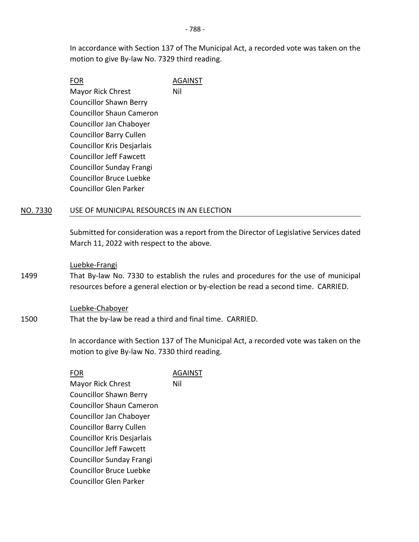In accordance with Section 137 of The Municipal Act, a recorded vote was taken on the motion to give By-law No. 7329 third reading.

| FOR                             | <b>AGAINST</b> |
|---------------------------------|----------------|
| <b>Mayor Rick Chrest</b>        | Nil            |
| <b>Councillor Shawn Berry</b>   |                |
| <b>Councillor Shaun Cameron</b> |                |
| Councillor Jan Chaboyer         |                |
| <b>Councillor Barry Cullen</b>  |                |
| Councillor Kris Desjarlais      |                |
| <b>Councillor Jeff Fawcett</b>  |                |
| <b>Councillor Sunday Frangi</b> |                |
| <b>Councillor Bruce Luebke</b>  |                |
| Councillor Glen Parker          |                |
|                                 |                |

### NO. 7330 USE OF MUNICIPAL RESOURCES IN AN ELECTION

Submitted for consideration was a report from the Director of Legislative Services dated March 11, 2022 with respect to the above.

#### Luebke-Frangi

1499 That By-law No. 7330 to establish the rules and procedures for the use of municipal resources before a general election or by-election be read a second time. CARRIED.

#### Luebke-Chaboyer

1500 That the by-law be read a third and final time. CARRIED.

> In accordance with Section 137 of The Municipal Act, a recorded vote was taken on the motion to give By-law No. 7330 third reading.

| FOR                             | AGAINST |
|---------------------------------|---------|
| <b>Mayor Rick Chrest</b>        | Nil     |
| <b>Councillor Shawn Berry</b>   |         |
| <b>Councillor Shaun Cameron</b> |         |
| Councillor Jan Chaboyer         |         |
| <b>Councillor Barry Cullen</b>  |         |
| Councillor Kris Desjarlais      |         |
| <b>Councillor Jeff Fawcett</b>  |         |
| <b>Councillor Sunday Frangi</b> |         |
| <b>Councillor Bruce Luebke</b>  |         |
| <b>Councillor Glen Parker</b>   |         |
|                                 |         |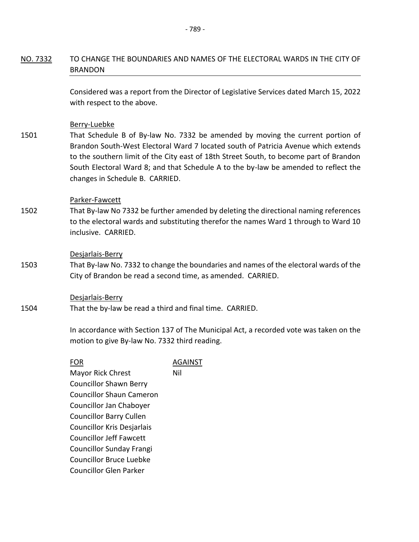# NO. 7332 TO CHANGE THE BOUNDARIES AND NAMES OF THE ELECTORAL WARDS IN THE CITY OF BRANDON

Considered was a report from the Director of Legislative Services dated March 15, 2022 with respect to the above.

#### Berry-Luebke

1501 That Schedule B of By-law No. 7332 be amended by moving the current portion of Brandon South-West Electoral Ward 7 located south of Patricia Avenue which extends to the southern limit of the City east of 18th Street South, to become part of Brandon South Electoral Ward 8; and that Schedule A to the by-law be amended to reflect the changes in Schedule B. CARRIED.

#### Parker-Fawcett

1502 That By-law No 7332 be further amended by deleting the directional naming references to the electoral wards and substituting therefor the names Ward 1 through to Ward 10 inclusive. CARRIED.

#### Desjarlais-Berry

1503 That By-law No. 7332 to change the boundaries and names of the electoral wards of the City of Brandon be read a second time, as amended. CARRIED.

#### Desjarlais-Berry

1504 That the by-law be read a third and final time. CARRIED.

> In accordance with Section 137 of The Municipal Act, a recorded vote was taken on the motion to give By-law No. 7332 third reading.

| FOR                             | AGAINST |
|---------------------------------|---------|
| <b>Mayor Rick Chrest</b>        | Nil     |
| <b>Councillor Shawn Berry</b>   |         |
| <b>Councillor Shaun Cameron</b> |         |
| Councillor Jan Chaboyer         |         |
| <b>Councillor Barry Cullen</b>  |         |
| Councillor Kris Desjarlais      |         |
| <b>Councillor Jeff Fawcett</b>  |         |
| <b>Councillor Sunday Frangi</b> |         |
| <b>Councillor Bruce Luebke</b>  |         |
| Councillor Glen Parker          |         |
|                                 |         |